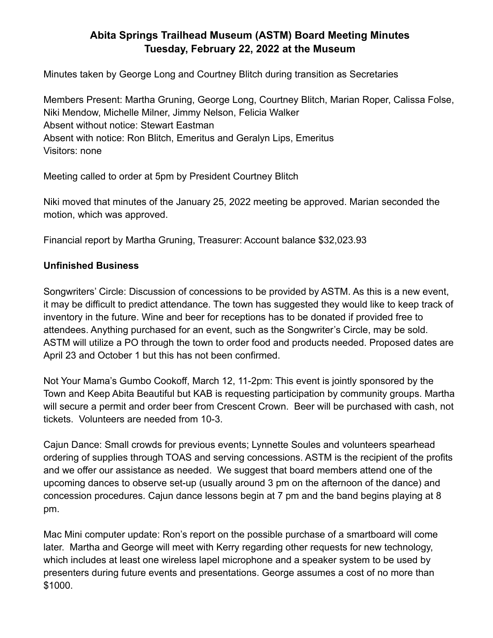## **Abita Springs Trailhead Museum (ASTM) Board Meeting Minutes Tuesday, February 22, 2022 at the Museum**

Minutes taken by George Long and Courtney Blitch during transition as Secretaries

Members Present: Martha Gruning, George Long, Courtney Blitch, Marian Roper, Calissa Folse, Niki Mendow, Michelle Milner, Jimmy Nelson, Felicia Walker Absent without notice: Stewart Eastman Absent with notice: Ron Blitch, Emeritus and Geralyn Lips, Emeritus Visitors: none

Meeting called to order at 5pm by President Courtney Blitch

Niki moved that minutes of the January 25, 2022 meeting be approved. Marian seconded the motion, which was approved.

Financial report by Martha Gruning, Treasurer: Account balance \$32,023.93

## **Unfinished Business**

Songwriters' Circle: Discussion of concessions to be provided by ASTM. As this is a new event, it may be difficult to predict attendance. The town has suggested they would like to keep track of inventory in the future. Wine and beer for receptions has to be donated if provided free to attendees. Anything purchased for an event, such as the Songwriter's Circle, may be sold. ASTM will utilize a PO through the town to order food and products needed. Proposed dates are April 23 and October 1 but this has not been confirmed.

Not Your Mama's Gumbo Cookoff, March 12, 11-2pm: This event is jointly sponsored by the Town and Keep Abita Beautiful but KAB is requesting participation by community groups. Martha will secure a permit and order beer from Crescent Crown. Beer will be purchased with cash, not tickets. Volunteers are needed from 10-3.

Cajun Dance: Small crowds for previous events; Lynnette Soules and volunteers spearhead ordering of supplies through TOAS and serving concessions. ASTM is the recipient of the profits and we offer our assistance as needed. We suggest that board members attend one of the upcoming dances to observe set-up (usually around 3 pm on the afternoon of the dance) and concession procedures. Cajun dance lessons begin at 7 pm and the band begins playing at 8 pm.

Mac Mini computer update: Ron's report on the possible purchase of a smartboard will come later. Martha and George will meet with Kerry regarding other requests for new technology, which includes at least one wireless lapel microphone and a speaker system to be used by presenters during future events and presentations. George assumes a cost of no more than \$1000.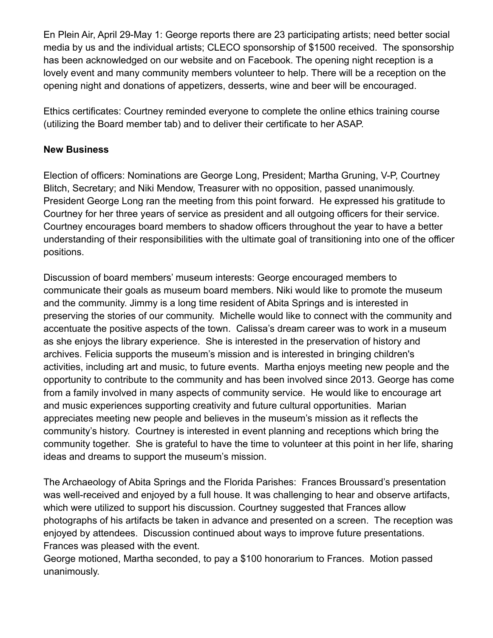En Plein Air, April 29-May 1: George reports there are 23 participating artists; need better social media by us and the individual artists; CLECO sponsorship of \$1500 received. The sponsorship has been acknowledged on our website and on Facebook. The opening night reception is a lovely event and many community members volunteer to help. There will be a reception on the opening night and donations of appetizers, desserts, wine and beer will be encouraged.

Ethics certificates: Courtney reminded everyone to complete the online ethics training course (utilizing the Board member tab) and to deliver their certificate to her ASAP.

## **New Business**

Election of officers: Nominations are George Long, President; Martha Gruning, V-P, Courtney Blitch, Secretary; and Niki Mendow, Treasurer with no opposition, passed unanimously. President George Long ran the meeting from this point forward. He expressed his gratitude to Courtney for her three years of service as president and all outgoing officers for their service. Courtney encourages board members to shadow officers throughout the year to have a better understanding of their responsibilities with the ultimate goal of transitioning into one of the officer positions.

Discussion of board members' museum interests: George encouraged members to communicate their goals as museum board members. Niki would like to promote the museum and the community. Jimmy is a long time resident of Abita Springs and is interested in preserving the stories of our community. Michelle would like to connect with the community and accentuate the positive aspects of the town. Calissa's dream career was to work in a museum as she enjoys the library experience. She is interested in the preservation of history and archives. Felicia supports the museum's mission and is interested in bringing children's activities, including art and music, to future events. Martha enjoys meeting new people and the opportunity to contribute to the community and has been involved since 2013. George has come from a family involved in many aspects of community service. He would like to encourage art and music experiences supporting creativity and future cultural opportunities. Marian appreciates meeting new people and believes in the museum's mission as it reflects the community's history. Courtney is interested in event planning and receptions which bring the community together. She is grateful to have the time to volunteer at this point in her life, sharing ideas and dreams to support the museum's mission.

The Archaeology of Abita Springs and the Florida Parishes: Frances Broussard's presentation was well-received and enjoyed by a full house. It was challenging to hear and observe artifacts, which were utilized to support his discussion. Courtney suggested that Frances allow photographs of his artifacts be taken in advance and presented on a screen. The reception was enjoyed by attendees. Discussion continued about ways to improve future presentations. Frances was pleased with the event.

George motioned, Martha seconded, to pay a \$100 honorarium to Frances. Motion passed unanimously.